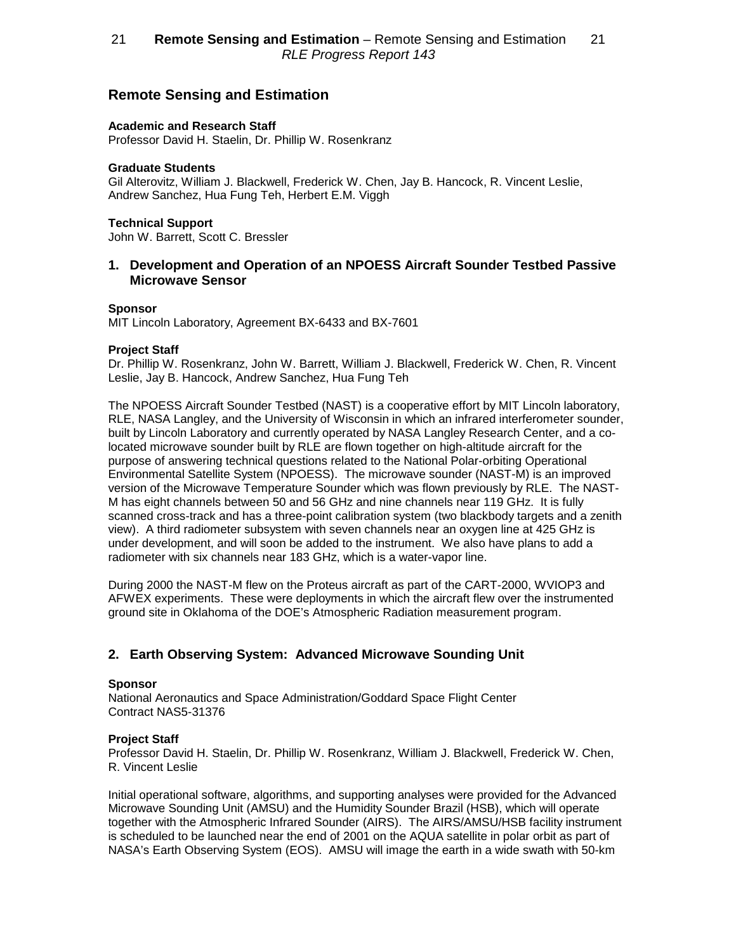# **Remote Sensing and Estimation**

## **Academic and Research Staff**

Professor David H. Staelin, Dr. Phillip W. Rosenkranz

### **Graduate Students**

Gil Alterovitz, William J. Blackwell, Frederick W. Chen, Jay B. Hancock, R. Vincent Leslie, Andrew Sanchez, Hua Fung Teh, Herbert E.M. Viggh

## **Technical Support**

John W. Barrett, Scott C. Bressler

## **1. Development and Operation of an NPOESS Aircraft Sounder Testbed Passive Microwave Sensor**

### **Sponsor**

MIT Lincoln Laboratory, Agreement BX-6433 and BX-7601

## **Project Staff**

Dr. Phillip W. Rosenkranz, John W. Barrett, William J. Blackwell, Frederick W. Chen, R. Vincent Leslie, Jay B. Hancock, Andrew Sanchez, Hua Fung Teh

The NPOESS Aircraft Sounder Testbed (NAST) is a cooperative effort by MIT Lincoln laboratory, RLE, NASA Langley, and the University of Wisconsin in which an infrared interferometer sounder, built by Lincoln Laboratory and currently operated by NASA Langley Research Center, and a colocated microwave sounder built by RLE are flown together on high-altitude aircraft for the purpose of answering technical questions related to the National Polar-orbiting Operational Environmental Satellite System (NPOESS). The microwave sounder (NAST-M) is an improved version of the Microwave Temperature Sounder which was flown previously by RLE. The NAST-M has eight channels between 50 and 56 GHz and nine channels near 119 GHz. It is fully scanned cross-track and has a three-point calibration system (two blackbody targets and a zenith view). A third radiometer subsystem with seven channels near an oxygen line at 425 GHz is under development, and will soon be added to the instrument. We also have plans to add a radiometer with six channels near 183 GHz, which is a water-vapor line.

During 2000 the NAST-M flew on the Proteus aircraft as part of the CART-2000, WVIOP3 and AFWEX experiments. These were deployments in which the aircraft flew over the instrumented ground site in Oklahoma of the DOE's Atmospheric Radiation measurement program.

# **2. Earth Observing System: Advanced Microwave Sounding Unit**

### **Sponsor**

National Aeronautics and Space Administration/Goddard Space Flight Center Contract NAS5-31376

### **Project Staff**

Professor David H. Staelin, Dr. Phillip W. Rosenkranz, William J. Blackwell, Frederick W. Chen, R. Vincent Leslie

Initial operational software, algorithms, and supporting analyses were provided for the Advanced Microwave Sounding Unit (AMSU) and the Humidity Sounder Brazil (HSB), which will operate together with the Atmospheric Infrared Sounder (AIRS). The AIRS/AMSU/HSB facility instrument is scheduled to be launched near the end of 2001 on the AQUA satellite in polar orbit as part of NASA's Earth Observing System (EOS). AMSU will image the earth in a wide swath with 50-km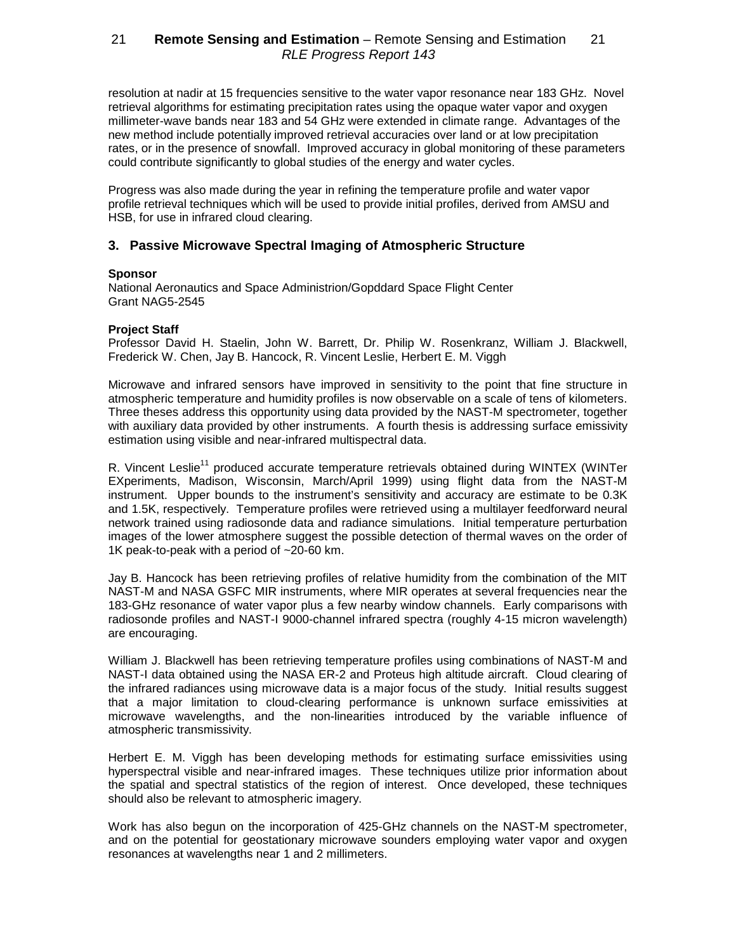resolution at nadir at 15 frequencies sensitive to the water vapor resonance near 183 GHz. Novel retrieval algorithms for estimating precipitation rates using the opaque water vapor and oxygen millimeter-wave bands near 183 and 54 GHz were extended in climate range. Advantages of the new method include potentially improved retrieval accuracies over land or at low precipitation rates, or in the presence of snowfall. Improved accuracy in global monitoring of these parameters could contribute significantly to global studies of the energy and water cycles.

Progress was also made during the year in refining the temperature profile and water vapor profile retrieval techniques which will be used to provide initial profiles, derived from AMSU and HSB, for use in infrared cloud clearing.

## **3. Passive Microwave Spectral Imaging of Atmospheric Structure**

## **Sponsor**

National Aeronautics and Space Administrion/Gopddard Space Flight Center Grant NAG5-2545

## **Project Staff**

Professor David H. Staelin, John W. Barrett, Dr. Philip W. Rosenkranz, William J. Blackwell, Frederick W. Chen, Jay B. Hancock, R. Vincent Leslie, Herbert E. M. Viggh

Microwave and infrared sensors have improved in sensitivity to the point that fine structure in atmospheric temperature and humidity profiles is now observable on a scale of tens of kilometers. Three theses address this opportunity using data provided by the NAST-M spectrometer, together with auxiliary data provided by other instruments. A fourth thesis is addressing surface emissivity estimation using visible and near-infrared multispectral data.

R. Vincent Leslie<sup>11</sup> produced accurate temperature retrievals obtained during WINTEX (WINTer EXperiments, Madison, Wisconsin, March/April 1999) using flight data from the NAST-M instrument. Upper bounds to the instrument's sensitivity and accuracy are estimate to be 0.3K and 1.5K, respectively. Temperature profiles were retrieved using a multilayer feedforward neural network trained using radiosonde data and radiance simulations. Initial temperature perturbation images of the lower atmosphere suggest the possible detection of thermal waves on the order of 1K peak-to-peak with a period of ~20-60 km.

Jay B. Hancock has been retrieving profiles of relative humidity from the combination of the MIT NAST-M and NASA GSFC MIR instruments, where MIR operates at several frequencies near the 183-GHz resonance of water vapor plus a few nearby window channels. Early comparisons with radiosonde profiles and NAST-I 9000-channel infrared spectra (roughly 4-15 micron wavelength) are encouraging.

William J. Blackwell has been retrieving temperature profiles using combinations of NAST-M and NAST-I data obtained using the NASA ER-2 and Proteus high altitude aircraft. Cloud clearing of the infrared radiances using microwave data is a major focus of the study. Initial results suggest that a major limitation to cloud-clearing performance is unknown surface emissivities at microwave wavelengths, and the non-linearities introduced by the variable influence of atmospheric transmissivity.

Herbert E. M. Viggh has been developing methods for estimating surface emissivities using hyperspectral visible and near-infrared images. These techniques utilize prior information about the spatial and spectral statistics of the region of interest. Once developed, these techniques should also be relevant to atmospheric imagery.

Work has also begun on the incorporation of 425-GHz channels on the NAST-M spectrometer, and on the potential for geostationary microwave sounders employing water vapor and oxygen resonances at wavelengths near 1 and 2 millimeters.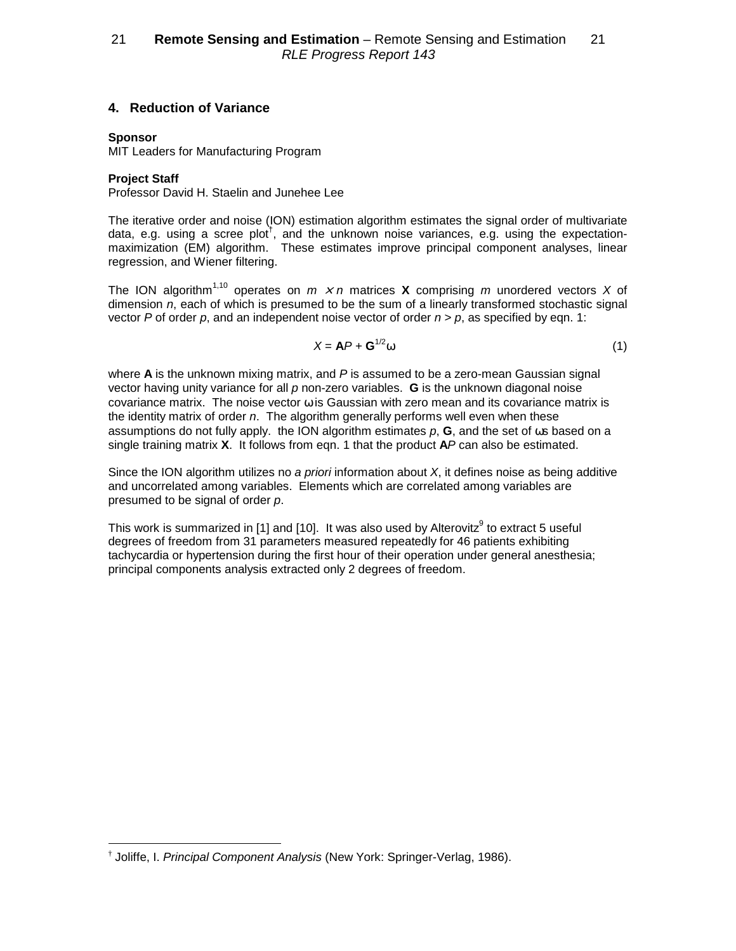# **4. Reduction of Variance**

## **Sponsor**

MIT Leaders for Manufacturing Program

**Project Staff**

Professor David H. Staelin and Junehee Lee

The iterative order and noise (ION) estimation algorithm estimates the signal order of multivariate data, e.g. using a scree plot<sup>†</sup>, and the unknown noise variances, e.g. using the expectationmaximization (EM) algorithm. These estimates improve principal component analyses, linear regression, and Wiener filtering.

The ION algorithm<sup>1,10</sup> operates on  $m \times n$  matrices **X** comprising m unordered vectors X of dimension n, each of which is presumed to be the sum of a linearly transformed stochastic signal vector P of order p, and an independent noise vector of order  $n > p$ , as specified by eqn. 1:

$$
X = AP + G^{1/2} \omega \tag{1}
$$

where **A** is the unknown mixing matrix, and P is assumed to be a zero-mean Gaussian signal vector having unity variance for all p non-zero variables. **G** is the unknown diagonal noise covariance matrix. The noise vector  $\omega$  is Gaussian with zero mean and its covariance matrix is the identity matrix of order  $n$ . The algorithm generally performs well even when these assumptions do not fully apply. the ION algorithm estimates p, **G**, and the set of ωs based on a single training matrix **X**. It follows from eqn. 1 that the product **A**P can also be estimated.

Since the ION algorithm utilizes no a priori information about  $X$ , it defines noise as being additive and uncorrelated among variables. Elements which are correlated among variables are presumed to be signal of order p.

This work is summarized in [1] and [10]. It was also used by Alterovitz $9$  to extract 5 useful degrees of freedom from 31 parameters measured repeatedly for 46 patients exhibiting tachycardia or hypertension during the first hour of their operation under general anesthesia; principal components analysis extracted only 2 degrees of freedom.

<sup>†</sup> Joliffe, I. Principal Component Analysis (New York: Springer-Verlag, 1986).